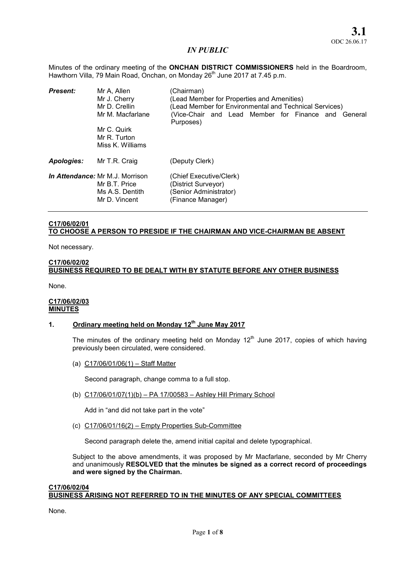Minutes of the ordinary meeting of the **ONCHAN DISTRICT COMMISSIONERS** held in the Boardroom, Hawthorn Villa, 79 Main Road, Onchan, on Monday 26<sup>th</sup> June 2017 at 7.45 p.m.

| <b>Present:</b>   | Mr A, Allen<br>Mr J. Cherry<br>Mr D. Crellin<br>Mr M. Macfarlane<br>Mr C. Quirk<br>Mr R. Turton<br>Miss K. Williams | (Chairman)<br>(Lead Member for Properties and Amenities)<br>(Lead Member for Environmental and Technical Services)<br>(Vice-Chair and Lead Member for Finance and General<br>Purposes) |  |
|-------------------|---------------------------------------------------------------------------------------------------------------------|----------------------------------------------------------------------------------------------------------------------------------------------------------------------------------------|--|
| <b>Apologies:</b> | Mr T.R. Craig                                                                                                       | (Deputy Clerk)                                                                                                                                                                         |  |
|                   | <b>In Attendance: Mr M.J. Morrison</b><br>Mr B.T. Price<br>Ms A.S. Dentith<br>Mr D. Vincent                         | (Chief Executive/Clerk)<br>(District Surveyor)<br>(Senior Administrator)<br>(Finance Manager)                                                                                          |  |

# C17/06/02/01 TO CHOOSE A PERSON TO PRESIDE IF THE CHAIRMAN AND VICE-CHAIRMAN BE ABSENT

Not necessary.

# C17/06/02/02 BUSINESS REQUIRED TO BE DEALT WITH BY STATUTE BEFORE ANY OTHER BUSINESS

None.

# C17/06/02/03 **MINUTES**

# 1. Ordinary meeting held on Monday  $12<sup>th</sup>$  June May 2017

The minutes of the ordinary meeting held on Monday  $12<sup>th</sup>$  June 2017, copies of which having previously been circulated, were considered.

(a) C17/06/01/06(1) – Staff Matter

Second paragraph, change comma to a full stop.

(b) C17/06/01/07(1)(b) – PA 17/00583 – Ashley Hill Primary School

Add in "and did not take part in the vote"

(c) C17/06/01/16(2) – Empty Properties Sub-Committee

Second paragraph delete the, amend initial capital and delete typographical.

Subject to the above amendments, it was proposed by Mr Macfarlane, seconded by Mr Cherry and unanimously RESOLVED that the minutes be signed as a correct record of proceedings and were signed by the Chairman.

#### C17/06/02/04 BUSINESS ARISING NOT REFERRED TO IN THE MINUTES OF ANY SPECIAL COMMITTEES

None.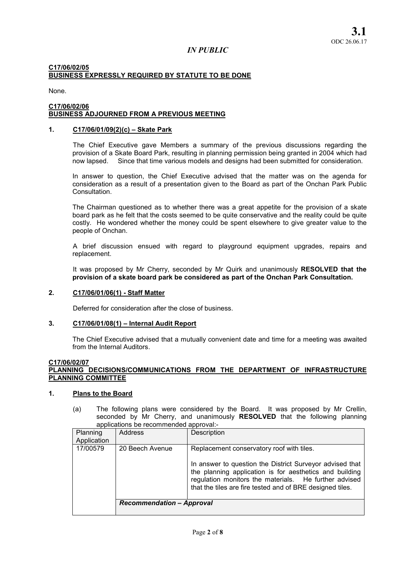# C17/06/02/05 BUSINESS EXPRESSLY REQUIRED BY STATUTE TO BE DONE

None.

#### C17/06/02/06 BUSINESS ADJOURNED FROM A PREVIOUS MEETING

# 1. C17/06/01/09(2)(c) – Skate Park

The Chief Executive gave Members a summary of the previous discussions regarding the provision of a Skate Board Park, resulting in planning permission being granted in 2004 which had now lapsed. Since that time various models and designs had been submitted for consideration.

In answer to question, the Chief Executive advised that the matter was on the agenda for consideration as a result of a presentation given to the Board as part of the Onchan Park Public **Consultation** 

The Chairman questioned as to whether there was a great appetite for the provision of a skate board park as he felt that the costs seemed to be quite conservative and the reality could be quite costly. He wondered whether the money could be spent elsewhere to give greater value to the people of Onchan.

A brief discussion ensued with regard to playground equipment upgrades, repairs and replacement.

It was proposed by Mr Cherry, seconded by Mr Quirk and unanimously RESOLVED that the provision of a skate board park be considered as part of the Onchan Park Consultation.

# 2. C17/06/01/06(1) - Staff Matter

Deferred for consideration after the close of business.

# 3. C17/06/01/08(1) – Internal Audit Report

The Chief Executive advised that a mutually convenient date and time for a meeting was awaited from the Internal Auditors.

#### C17/06/02/07 PLANNING DECISIONS/COMMUNICATIONS FROM THE DEPARTMENT OF INFRASTRUCTURE PLANNING COMMITTEE

#### 1. Plans to the Board

(a) The following plans were considered by the Board. It was proposed by Mr Crellin, seconded by Mr Cherry, and unanimously RESOLVED that the following planning applications be recommended approval:-

| Planning<br>Application | <b>Address</b>                   | Description                                                                                                                                                                                                                               |  |
|-------------------------|----------------------------------|-------------------------------------------------------------------------------------------------------------------------------------------------------------------------------------------------------------------------------------------|--|
| 17/00579                | 20 Beech Avenue                  | Replacement conservatory roof with tiles.                                                                                                                                                                                                 |  |
|                         |                                  | In answer to question the District Surveyor advised that<br>the planning application is for aesthetics and building<br>regulation monitors the materials. He further advised<br>that the tiles are fire tested and of BRE designed tiles. |  |
|                         | <b>Recommendation - Approval</b> |                                                                                                                                                                                                                                           |  |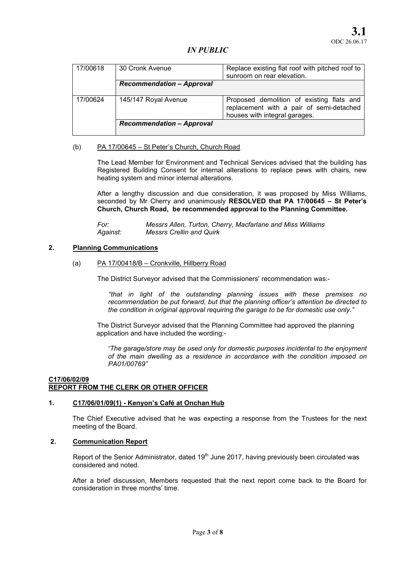| 17/00618 | 30 Cronk Avenue                  | Replace existing flat roof with pitched roof to<br>sunroom on rear elevation.                                          |  |
|----------|----------------------------------|------------------------------------------------------------------------------------------------------------------------|--|
|          | <b>Recommendation - Approval</b> |                                                                                                                        |  |
| 17/00624 | 145/147 Royal Avenue             | Proposed demolition of existing flats and<br>replacement with a pair of semi-detached<br>houses with integral garages. |  |
|          | <b>Recommendation - Approval</b> |                                                                                                                        |  |

# (b) PA 17/00645 – St Peter's Church, Church Road

The Lead Member for Environment and Technical Services advised that the building has Registered Building Consent for internal alterations to replace pews with chairs, new heating system and minor internal alterations.

After a lengthy discussion and due consideration, it was proposed by Miss Williams, seconded by Mr Cherry and unanimously RESOLVED that PA 17/00645 - St Peter's Church, Church Road, be recommended approval to the Planning Committee.

*For: Messrs Allen, Turton, Cherry, Macfarlane and Miss Williams Against: Messrs Crellin and Quirk* 

#### 2. Planning Communications

#### (a) PA 17/00418/B – Cronkville, Hillberry Road

The District Surveyor advised that the Commissioners' recommendation was:-

*"that in light of the outstanding planning issues with these premises no recommendation be put forward, but that the planning officer's attention be directed to the condition in original approval requiring the garage to be for domestic use only."*

The District Surveyor advised that the Planning Committee had approved the planning application and have included the wording:-

*"The garage/store may be used only for domestic purposes incidental to the enjoyment of the main dwelling as a residence in accordance with the condition imposed on PA01/00769"*

# C17/06/02/09 REPORT FROM THE CLERK OR OTHER OFFICER

## 1. C17/06/01/09(1) - Kenyon's Café at Onchan Hub

The Chief Executive advised that he was expecting a response from the Trustees for the next meeting of the Board.

# 2. Communication Report

Report of the Senior Administrator, dated 19<sup>th</sup> June 2017, having previously been circulated was considered and noted.

After a brief discussion, Members requested that the next report come back to the Board for consideration in three months' time.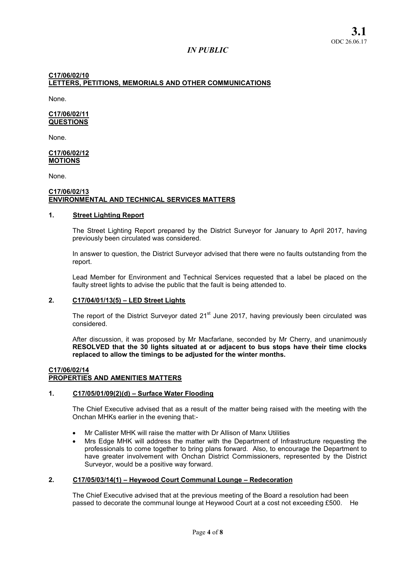# C17/06/02/10 LETTERS, PETITIONS, MEMORIALS AND OTHER COMMUNICATIONS

None.

# C17/06/02/11 **QUESTIONS**

None.

#### C17/06/02/12 MOTIONS

None.

#### C17/06/02/13 ENVIRONMENTAL AND TECHNICAL SERVICES MATTERS

# 1. Street Lighting Report

The Street Lighting Report prepared by the District Surveyor for January to April 2017, having previously been circulated was considered.

In answer to question, the District Surveyor advised that there were no faults outstanding from the report.

Lead Member for Environment and Technical Services requested that a label be placed on the faulty street lights to advise the public that the fault is being attended to.

# 2. C17/04/01/13(5) – LED Street Lights

The report of the District Surveyor dated 21<sup>st</sup> June 2017, having previously been circulated was considered.

After discussion, it was proposed by Mr Macfarlane, seconded by Mr Cherry, and unanimously RESOLVED that the 30 lights situated at or adjacent to bus stops have their time clocks replaced to allow the timings to be adjusted for the winter months.

# C17/06/02/14

# PROPERTIES AND AMENITIES MATTERS

# 1. C17/05/01/09(2)(d) – Surface Water Flooding

The Chief Executive advised that as a result of the matter being raised with the meeting with the Onchan MHKs earlier in the evening that:-

- Mr Callister MHK will raise the matter with Dr Allison of Manx Utilities
- Mrs Edge MHK will address the matter with the Department of Infrastructure requesting the professionals to come together to bring plans forward. Also, to encourage the Department to have greater involvement with Onchan District Commissioners, represented by the District Surveyor, would be a positive way forward.

# 2. C17/05/03/14(1) – Heywood Court Communal Lounge – Redecoration

The Chief Executive advised that at the previous meeting of the Board a resolution had been passed to decorate the communal lounge at Heywood Court at a cost not exceeding £500. He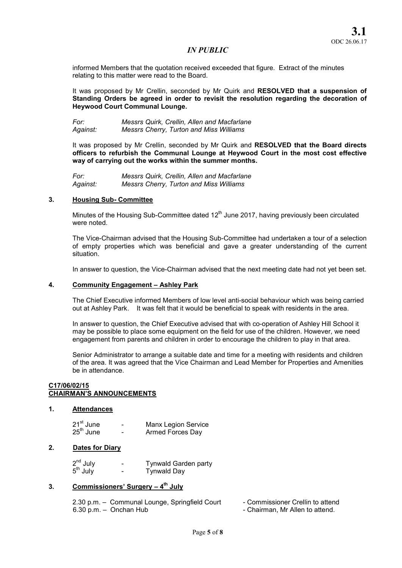informed Members that the quotation received exceeded that figure. Extract of the minutes relating to this matter were read to the Board.

It was proposed by Mr Crellin, seconded by Mr Quirk and RESOLVED that a suspension of Standing Orders be agreed in order to revisit the resolution regarding the decoration of Heywood Court Communal Lounge.

*For: Messrs Quirk, Crellin, Allen and Macfarlane Against: Messrs Cherry, Turton and Miss Williams* 

It was proposed by Mr Crellin, seconded by Mr Quirk and RESOLVED that the Board directs officers to refurbish the Communal Lounge at Heywood Court in the most cost effective way of carrying out the works within the summer months.

*For: Messrs Quirk, Crellin, Allen and Macfarlane Against: Messrs Cherry, Turton and Miss Williams* 

#### 3. Housing Sub- Committee

Minutes of the Housing Sub-Committee dated  $12<sup>th</sup>$  June 2017, having previously been circulated were noted.

The Vice-Chairman advised that the Housing Sub-Committee had undertaken a tour of a selection of empty properties which was beneficial and gave a greater understanding of the current situation.

In answer to question, the Vice-Chairman advised that the next meeting date had not yet been set.

# 4. Community Engagement – Ashley Park

The Chief Executive informed Members of low level anti-social behaviour which was being carried out at Ashley Park. It was felt that it would be beneficial to speak with residents in the area.

In answer to question, the Chief Executive advised that with co-operation of Ashley Hill School it may be possible to place some equipment on the field for use of the children. However, we need engagement from parents and children in order to encourage the children to play in that area.

Senior Administrator to arrange a suitable date and time for a meeting with residents and children of the area. It was agreed that the Vice Chairman and Lead Member for Properties and Amenities be in attendance.

#### C17/06/02/15 CHAIRMAN'S ANNOUNCEMENTS

#### 1. Attendances

| 21 <sup>st</sup> June | - | <b>Manx Legion Service</b> |
|-----------------------|---|----------------------------|
| 25 <sup>th</sup> June | - | Armed Forces Day           |

# 2. Dates for Diary

| $2^{nd}$ July | - | <b>Tynwald Garden party</b> |
|---------------|---|-----------------------------|
| $5th$ July    | - | Tynwald Day                 |

# 3. Commissioners' Surgery – 4<sup>th</sup> July

2.30 p.m. – Communal Lounge, Springfield Court - Commissioner Crellin to attend 6.30 p.m. – Onchan Hub **- Chairman, Mr Allen to attend.** 

- 
-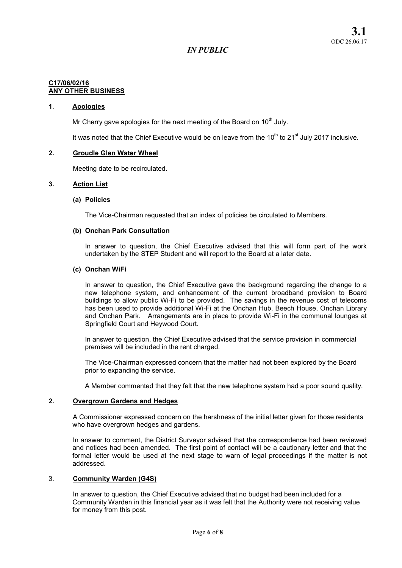#### C17/06/02/16 ANY OTHER BUSINESS

# 1. Apologies

Mr Cherry gave apologies for the next meeting of the Board on  $10<sup>th</sup>$  July.

It was noted that the Chief Executive would be on leave from the  $10<sup>th</sup>$  to  $21<sup>st</sup>$  July 2017 inclusive.

# 2. Groudle Glen Water Wheel

Meeting date to be recirculated.

# 3. Action List

# (a) Policies

The Vice-Chairman requested that an index of policies be circulated to Members.

#### (b) Onchan Park Consultation

In answer to question, the Chief Executive advised that this will form part of the work undertaken by the STEP Student and will report to the Board at a later date.

#### (c) Onchan WiFi

In answer to question, the Chief Executive gave the background regarding the change to a new telephone system, and enhancement of the current broadband provision to Board buildings to allow public Wi-Fi to be provided. The savings in the revenue cost of telecoms has been used to provide additional Wi-Fi at the Onchan Hub, Beech House, Onchan Library and Onchan Park. Arrangements are in place to provide Wi-Fi in the communal lounges at Springfield Court and Heywood Court.

In answer to question, the Chief Executive advised that the service provision in commercial premises will be included in the rent charged.

The Vice-Chairman expressed concern that the matter had not been explored by the Board prior to expanding the service.

A Member commented that they felt that the new telephone system had a poor sound quality.

#### 2. Overgrown Gardens and Hedges

A Commissioner expressed concern on the harshness of the initial letter given for those residents who have overgrown hedges and gardens.

In answer to comment, the District Surveyor advised that the correspondence had been reviewed and notices had been amended. The first point of contact will be a cautionary letter and that the formal letter would be used at the next stage to warn of legal proceedings if the matter is not addressed.

#### 3. Community Warden (G4S)

In answer to question, the Chief Executive advised that no budget had been included for a Community Warden in this financial year as it was felt that the Authority were not receiving value for money from this post.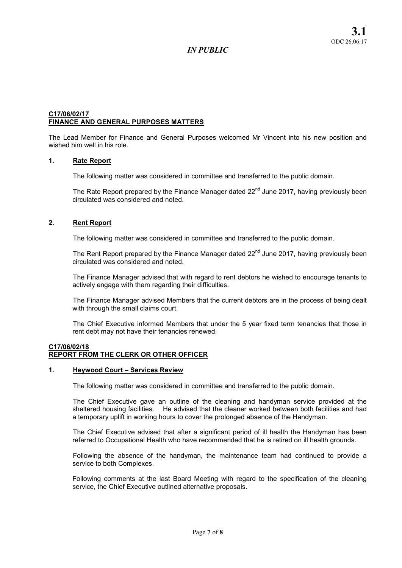# C17/06/02/17 FINANCE AND GENERAL PURPOSES MATTERS

The Lead Member for Finance and General Purposes welcomed Mr Vincent into his new position and wished him well in his role.

# 1. Rate Report

The following matter was considered in committee and transferred to the public domain.

The Rate Report prepared by the Finance Manager dated 22<sup>nd</sup> June 2017, having previously been circulated was considered and noted.

# 2. Rent Report

The following matter was considered in committee and transferred to the public domain.

The Rent Report prepared by the Finance Manager dated  $22<sup>nd</sup>$  June 2017, having previously been circulated was considered and noted.

The Finance Manager advised that with regard to rent debtors he wished to encourage tenants to actively engage with them regarding their difficulties.

The Finance Manager advised Members that the current debtors are in the process of being dealt with through the small claims court.

The Chief Executive informed Members that under the 5 year fixed term tenancies that those in rent debt may not have their tenancies renewed.

# C17/06/02/18 REPORT FROM THE CLERK OR OTHER OFFICER

#### 1. Heywood Court – Services Review

The following matter was considered in committee and transferred to the public domain.

The Chief Executive gave an outline of the cleaning and handyman service provided at the sheltered housing facilities. He advised that the cleaner worked between both facilities and had a temporary uplift in working hours to cover the prolonged absence of the Handyman.

The Chief Executive advised that after a significant period of ill health the Handyman has been referred to Occupational Health who have recommended that he is retired on ill health grounds.

Following the absence of the handyman, the maintenance team had continued to provide a service to both Complexes.

Following comments at the last Board Meeting with regard to the specification of the cleaning service, the Chief Executive outlined alternative proposals.